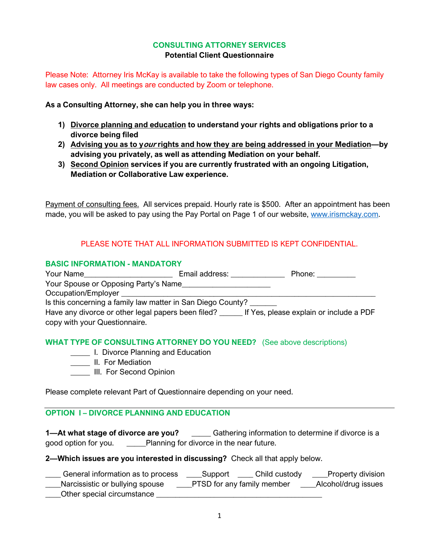### **CONSULTING ATTORNEY SERVICES Potential Client Questionnaire**

Please Note: Attorney Iris McKay is available to take the following types of San Diego County family law cases only. All meetings are conducted by Zoom or telephone.

**As a Consulting Attorney, she can help you in three ways:**

- **1) Divorce planning and education to understand your rights and obligations prior to a divorce being filed**
- **2) Advising you as to your rights and how they are being addressed in your Mediation—by advising you privately, as well as attending Mediation on your behalf.**
- **3) Second Opinion services if you are currently frustrated with an ongoing Litigation, Mediation or Collaborative Law experience.**

Payment of consulting fees. All services prepaid. Hourly rate is \$500. After an appointment has been made, you will be asked to pay using the Pay Portal on Page 1 of our website, [www.irismckay.com.](http://www.irismckay.com/)

# PLEASE NOTE THAT ALL INFORMATION SUBMITTED IS KEPT CONFIDENTIAL.

#### **BASIC INFORMATION - MANDATORY**

| Your Name                                                                                          | Email address: | Phone: The Phone State State State State State State State State State State State State State State State State State State State State State State State State State State State State State State State State State State S |
|----------------------------------------------------------------------------------------------------|----------------|--------------------------------------------------------------------------------------------------------------------------------------------------------------------------------------------------------------------------------|
| Your Spouse or Opposing Party's Name                                                               |                |                                                                                                                                                                                                                                |
| Occupation/Employer                                                                                |                |                                                                                                                                                                                                                                |
| Is this concerning a family law matter in San Diego County?                                        |                |                                                                                                                                                                                                                                |
| Have any divorce or other legal papers been filed? _______ If Yes, please explain or include a PDF |                |                                                                                                                                                                                                                                |
| copy with your Questionnaire.                                                                      |                |                                                                                                                                                                                                                                |

#### **WHAT TYPE OF CONSULTING ATTORNEY DO YOU NEED?** (See above descriptions)

- **LECTILE** I. Divorce Planning and Education
- **\_\_\_\_\_** II. For Mediation
- **\_\_\_\_\_\_ III.** For Second Opinion

Please complete relevant Part of Questionnaire depending on your need.

## **OPTION I – DIVORCE PLANNING AND EDUCATION**

**1—At what stage of divorce are you?** \_\_\_\_\_ Gathering information to determine if divorce is a good option for you. \_\_\_\_\_Planning for divorce in the near future.

**2—Which issues are you interested in discussing?** Check all that apply below.

| General information as to process | Support | Child custody              | Property division   |
|-----------------------------------|---------|----------------------------|---------------------|
| Narcissistic or bullying spouse   |         | PTSD for any family member | Alcohol/drug issues |
| Other special circumstance        |         |                            |                     |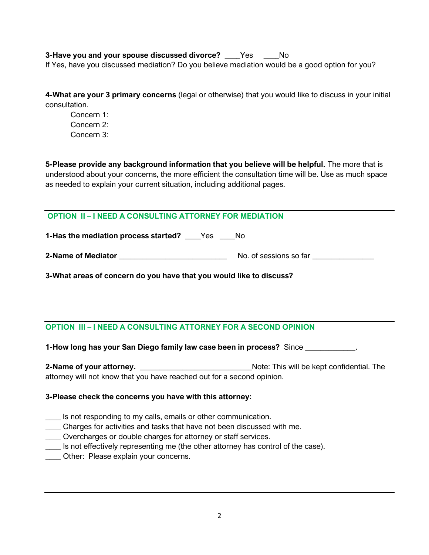**3-Have you and your spouse discussed divorce?** \_\_\_\_Yes \_\_\_\_No If Yes, have you discussed mediation? Do you believe mediation would be a good option for you?

**4-What are your 3 primary concerns** (legal or otherwise) that you would like to discuss in your initial consultation.

Concern 1: Concern 2: Concern 3:

**5-Please provide any background information that you believe will be helpful.** The more that is understood about your concerns, the more efficient the consultation time will be. Use as much space as needed to explain your current situation, including additional pages.

# **OPTION II – I NEED A CONSULTING ATTORNEY FOR MEDIATION**

**1-Has the mediation process started?** Yes No

**2-Name of Mediator** \_\_\_\_\_\_\_\_\_\_\_\_\_\_\_\_\_\_\_\_\_\_\_\_\_\_\_\_ No. of sessions so far \_\_\_\_\_\_\_\_\_\_\_\_\_\_\_\_

**3-What areas of concern do you have that you would like to discuss?**

# **OPTION III – I NEED A CONSULTING ATTORNEY FOR A SECOND OPINION**

**1-How long has your San Diego family law case been in process?** Since \_\_\_\_\_\_\_\_\_\_\_\_\_.

**2-Name of your attorney.** \_\_\_\_\_\_\_\_\_\_\_\_\_\_\_\_\_\_\_\_\_\_\_\_\_\_\_\_\_Note: This will be kept confidential. The attorney will not know that you have reached out for a second opinion.

## **3-Please check the concerns you have with this attorney:**

- **\_\_\_\_** Is not responding to my calls, emails or other communication.
- \_\_\_\_ Charges for activities and tasks that have not been discussed with me.
- \_\_\_\_ Overcharges or double charges for attorney or staff services.
- \_\_\_\_ Is not effectively representing me (the other attorney has control of the case).
- \_\_\_\_ Other: Please explain your concerns.